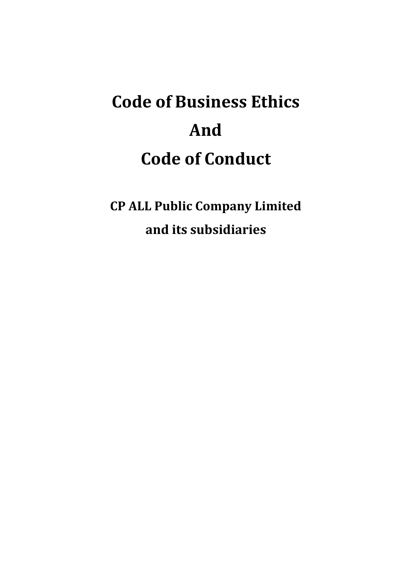**CP ALL Public Company Limited and its subsidiaries**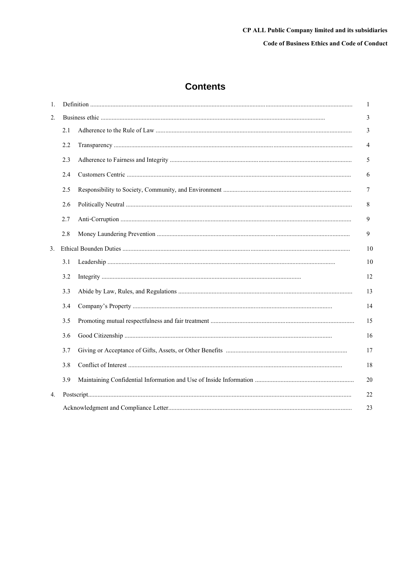# **Contents**

| 1. |     |  | 1               |
|----|-----|--|-----------------|
| 2. |     |  |                 |
|    | 2.1 |  | 3               |
|    | 2.2 |  | $\overline{4}$  |
|    | 2.3 |  | 5               |
|    | 2.4 |  | 6               |
|    | 2.5 |  | $7\phantom{.0}$ |
|    | 2.6 |  | 8               |
|    | 2.7 |  | $\overline{9}$  |
|    | 2.8 |  | 9               |
| 3. |     |  | 10              |
|    | 3.1 |  | 10              |
|    | 3.2 |  | 12              |
|    | 3.3 |  | 13              |
|    | 3.4 |  | 14              |
|    | 3.5 |  | 15              |
|    | 3.6 |  | 16              |
|    | 3.7 |  | 17              |
|    | 3.8 |  | 18              |
|    | 3.9 |  | 20              |
| 4. |     |  | 22              |
|    |     |  | 23              |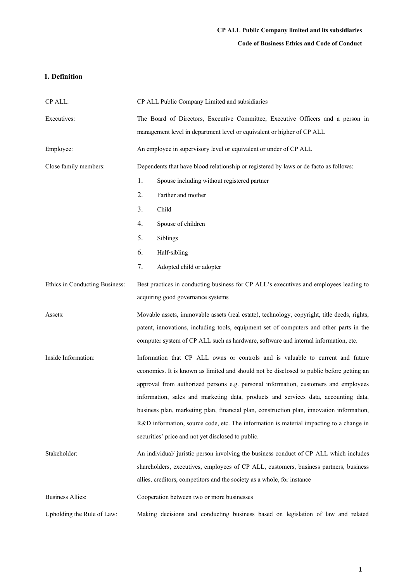## **Code of Business Ethics and Code of Conduct**

## **1. Definition**

| CP ALL:                        | CP ALL Public Company Limited and subsidiaries                                              |  |  |  |
|--------------------------------|---------------------------------------------------------------------------------------------|--|--|--|
| Executives:                    | The Board of Directors, Executive Committee, Executive Officers and a person in             |  |  |  |
|                                | management level in department level or equivalent or higher of CP ALL                      |  |  |  |
| Employee:                      | An employee in supervisory level or equivalent or under of CP ALL                           |  |  |  |
| Close family members:          | Dependents that have blood relationship or registered by laws or de facto as follows:       |  |  |  |
|                                | 1.<br>Spouse including without registered partner                                           |  |  |  |
|                                | 2.<br>Farther and mother                                                                    |  |  |  |
|                                | 3.<br>Child                                                                                 |  |  |  |
|                                | 4.<br>Spouse of children                                                                    |  |  |  |
|                                | 5.<br>Siblings                                                                              |  |  |  |
|                                | 6.<br>Half-sibling                                                                          |  |  |  |
|                                | 7.<br>Adopted child or adopter                                                              |  |  |  |
| Ethics in Conducting Business: | Best practices in conducting business for CP ALL's executives and employees leading to      |  |  |  |
|                                | acquiring good governance systems                                                           |  |  |  |
| Assets:                        | Movable assets, immovable assets (real estate), technology, copyright, title deeds, rights, |  |  |  |
|                                | patent, innovations, including tools, equipment set of computers and other parts in the     |  |  |  |
|                                | computer system of CP ALL such as hardware, software and internal information, etc.         |  |  |  |
| Inside Information:            | Information that CP ALL owns or controls and is valuable to current and future              |  |  |  |
|                                | economics. It is known as limited and should not be disclosed to public before getting an   |  |  |  |
|                                | approval from authorized persons e.g. personal information, customers and employees         |  |  |  |
|                                | information, sales and marketing data, products and services data, accounting data,         |  |  |  |
|                                | business plan, marketing plan, financial plan, construction plan, innovation information,   |  |  |  |
|                                | R&D information, source code, etc. The information is material impacting to a change in     |  |  |  |
|                                | securities' price and not yet disclosed to public.                                          |  |  |  |
| Stakeholder:                   | An individual/ juristic person involving the business conduct of CP ALL which includes      |  |  |  |
|                                | shareholders, executives, employees of CP ALL, customers, business partners, business       |  |  |  |
|                                | allies, creditors, competitors and the society as a whole, for instance                     |  |  |  |
| <b>Business Allies:</b>        | Cooperation between two or more businesses                                                  |  |  |  |
| Upholding the Rule of Law:     | Making decisions and conducting business based on legislation of law and related            |  |  |  |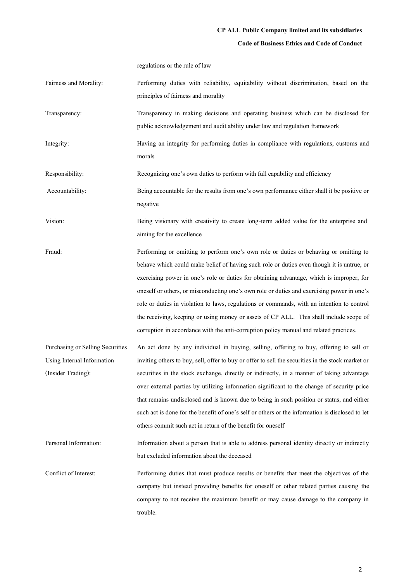#### **Code of Business Ethics and Code of Conduct**

regulations or the rule of law

- Fairness and Morality: Performing duties with reliability, equitability without discrimination, based on the principles of fairness and morality
- Transparency: Transparency in making decisions and operating business which can be disclosed for public acknowledgement and audit ability under law and regulation framework
- Integrity: Having an integrity for performing duties in compliance with regulations, customs and morals

Responsibility: Recognizing one's own duties to perform with full capability and efficiency

Accountability: Being accountable for the results from one's own performance either shall it be positive or negative

- Vision: Being visionary with creativity to create long-term added value for the enterprise and aiming for the excellence
- Fraud: Performing or omitting to perform one's own role or duties or behaving or omitting to behave which could make belief of having such role or duties even though it is untrue, or exercising power in one's role or duties for obtaining advantage, which is improper, for oneself or others, or misconducting one's own role or duties and exercising power in one's role or duties in violation to laws, regulations or commands, with an intention to control the receiving, keeping or using money or assets of CP ALL. This shall include scope of corruption in accordance with the anti-corruption policy manual and related practices.
- Purchasing or Selling Securities Using Internal Information (Insider Trading): An act done by any individual in buying, selling, offering to buy, offering to sell or inviting others to buy, sell, offer to buy or offer to sell the securities in the stock market or securities in the stock exchange, directly or indirectly, in a manner of taking advantage over external parties by utilizing information significant to the change of security price that remains undisclosed and is known due to being in such position or status, and either such act is done for the benefit of one's self or others or the information is disclosed to let others commit such act in return of the benefit for oneself

Personal Information: Information about a person that is able to address personal identity directly or indirectly but excluded information about the deceased

Conflict of Interest: Performing duties that must produce results or benefits that meet the objectives of the company but instead providing benefits for oneself or other related parties causing the company to not receive the maximum benefit or may cause damage to the company in trouble.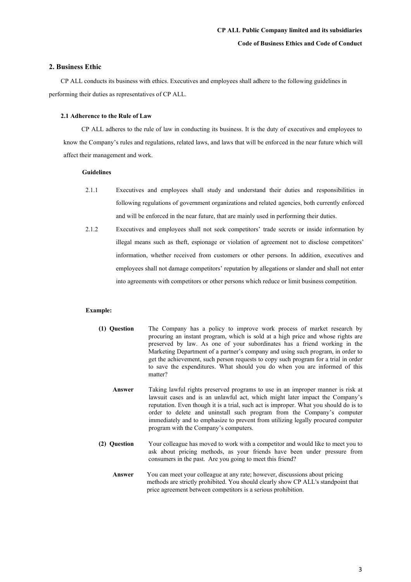## **2. Business Ethic**

CP ALL conducts its business with ethics. Executives and employees shall adhere to the following guidelines in performing their duties as representatives of CP ALL.

## **2.1 Adherence to the Rule of Law**

CP ALL adheres to the rule of law in conducting its business. It is the duty of executives and employees to know the Company's rules and regulations, related laws, and laws that will be enforced in the near future which will affect their management and work.

## **Guidelines**

- 2.1.1 Executives and employees shall study and understand their duties and responsibilities in following regulations of government organizations and related agencies, both currently enforced and will be enforced in the near future, that are mainly used in performing their duties.
- 2.1.2 Executives and employees shall not seek competitors' trade secrets or inside information by illegal means such as theft, espionage or violation of agreement not to disclose competitors' information, whether received from customers or other persons. In addition, executives and employees shall not damage competitors' reputation by allegations or slander and shall not enter into agreements with competitors or other persons which reduce or limit business competition.

## **Example:**

- **(1) Question** The Company has a policy to improve work process of market research by procuring an instant program, which is sold at a high price and whose rights are preserved by law. As one of your subordinates has a friend working in the Marketing Department of a partner's company and using such program, in order to get the achievement, such person requests to copy such program for a trial in order to save the expenditures. What should you do when you are informed of this matter?
	- **Answer** Taking lawful rights preserved programs to use in an improper manner is risk at lawsuit cases and is an unlawful act, which might later impact the Company's reputation. Even though it is a trial, such act is improper. What you should do is to order to delete and uninstall such program from the Company's computer immediately and to emphasize to prevent from utilizing legally procured computer program with the Company's computers.
- **(2) Question** Your colleague has moved to work with a competitor and would like to meet you to ask about pricing methods, as your friends have been under pressure from consumers in the past. Are you going to meet this friend?
	- **Answer** You can meet your colleague at any rate; however, discussions about pricing methods are strictly prohibited. You should clearly show CP ALL's standpoint that price agreement between competitors is a serious prohibition.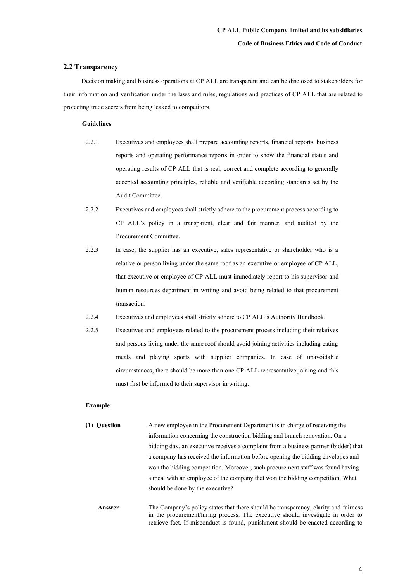## **2.2 Transparency**

Decision making and business operations at CP ALL are transparent and can be disclosed to stakeholders for their information and verification under the laws and rules, regulations and practices of CP ALL that are related to protecting trade secrets from being leaked to competitors.

#### **Guidelines**

- 2.2.1 Executives and employees shall prepare accounting reports, financial reports, business reports and operating performance reports in order to show the financial status and operating results of CP ALL that is real, correct and complete according to generally accepted accounting principles, reliable and verifiable according standards set by the Audit Committee.
- 2.2.2 Executives and employees shall strictly adhere to the procurement process according to CP ALL's policy in a transparent, clear and fair manner, and audited by the Procurement Committee.
- 2.2.3 In case, the supplier has an executive, sales representative or shareholder who is a relative or person living under the same roof as an executive or employee of CP ALL, that executive or employee of CP ALL must immediately report to his supervisor and human resources department in writing and avoid being related to that procurement transaction.
- 2.2.4 Executives and employees shall strictly adhere to CP ALL's Authority Handbook.
- 2.2.5 Executives and employees related to the procurement process including their relatives and persons living under the same roof should avoid joining activities including eating meals and playing sports with supplier companies. In case of unavoidable circumstances, there should be more than one CP ALL representative joining and this must first be informed to their supervisor in writing.

#### **Example:**

- **(1) Question** A new employee in the Procurement Department is in charge of receiving the information concerning the construction bidding and branch renovation. On a bidding day, an executive receives a complaint from a business partner (bidder) that a company has received the information before opening the bidding envelopes and won the bidding competition. Moreover, such procurement staff was found having a meal with an employee of the company that won the bidding competition. What should be done by the executive?
	- **Answer** The Company's policy states that there should be transparency, clarity and fairness in the procurement/hiring process. The executive should investigate in order to retrieve fact. If misconduct is found, punishment should be enacted according to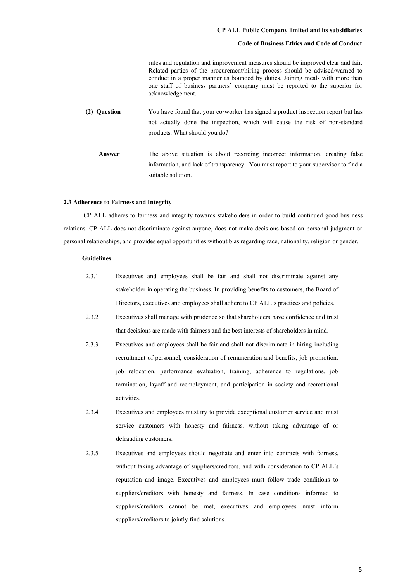#### **Code of Business Ethics and Code of Conduct**

rules and regulation and improvement measures should be improved clear and fair. Related parties of the procurement/hiring process should be advised/warned to conduct in a proper manner as bounded by duties. Joining meals with more than one staff of business partners' company must be reported to the superior for acknowledgement*.*

- **(2) Question** You have found that your co-worker has signed a product inspection report but has not actually done the inspection, which will cause the risk of non-standard products. What should you do?
	- **Answer** The above situation is about recording incorrect information, creating false information, and lack of transparency. You must report to your supervisor to find a suitable solution.

#### **2.3 Adherence to Fairness and Integrity**

CP ALL adheres to fairness and integrity towards stakeholders in order to build continued good business relations. CP ALL does not discriminate against anyone, does not make decisions based on personal judgment or personal relationships, and provides equal opportunities without bias regarding race, nationality, religion or gender.

- 2.3.1 Executives and employees shall be fair and shall not discriminate against any stakeholder in operating the business. In providing benefits to customers, the Board of Directors, executives and employees shall adhere to CP ALL's practices and policies.
- 2.3.2 Executives shall manage with prudence so that shareholders have confidence and trust that decisions are made with fairness and the best interests of shareholders in mind.
- 2.3.3 Executives and employees shall be fair and shall not discriminate in hiring including recruitment of personnel, consideration of remuneration and benefits, job promotion, job relocation, performance evaluation, training, adherence to regulations, job termination, layoff and reemployment, and participation in society and recreational activities.
- 2.3.4 Executives and employees must try to provide exceptional customer service and must service customers with honesty and fairness, without taking advantage of or defrauding customers.
- 2.3.5 Executives and employees should negotiate and enter into contracts with fairness, without taking advantage of suppliers/creditors, and with consideration to CP ALL's reputation and image. Executives and employees must follow trade conditions to suppliers/creditors with honesty and fairness. In case conditions informed to suppliers/creditors cannot be met, executives and employees must inform suppliers/creditors to jointly find solutions.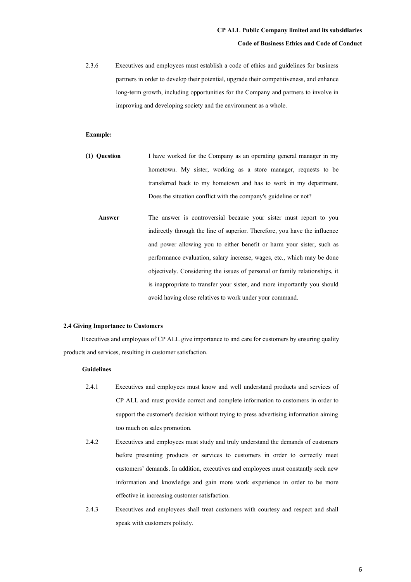2.3.6 Executives and employees must establish a code of ethics and guidelines for business partners in order to develop their potential, upgrade their competitiveness, and enhance long-term growth, including opportunities for the Company and partners to involve in improving and developing society and the environment as a whole.

## **Example:**

- **(1) Question** I have worked for the Company as an operating general manager in my hometown. My sister, working as a store manager, requests to be transferred back to my hometown and has to work in my department. Does the situation conflict with the company's guideline or not?
	- **Answer** The answer is controversial because your sister must report to you indirectly through the line of superior. Therefore, you have the influence and power allowing you to either benefit or harm your sister, such as performance evaluation, salary increase, wages, etc., which may be done objectively. Considering the issues of personal or family relationships, it is inappropriate to transfer your sister, and more importantly you should avoid having close relatives to work under your command.

#### **2.4 Giving Importance to Customers**

Executives and employees of CP ALL give importance to and care for customers by ensuring quality products and services, resulting in customer satisfaction.

- 2.4.1 Executives and employees must know and well understand products and services of CP ALL and must provide correct and complete information to customers in order to support the customer's decision without trying to press advertising information aiming too much on sales promotion.
- 2.4.2 Executives and employees must study and truly understand the demands of customers before presenting products or services to customers in order to correctly meet customers' demands. In addition, executives and employees must constantly seek new information and knowledge and gain more work experience in order to be more effective in increasing customer satisfaction.
- 2.4.3 Executives and employees shall treat customers with courtesy and respect and shall speak with customers politely.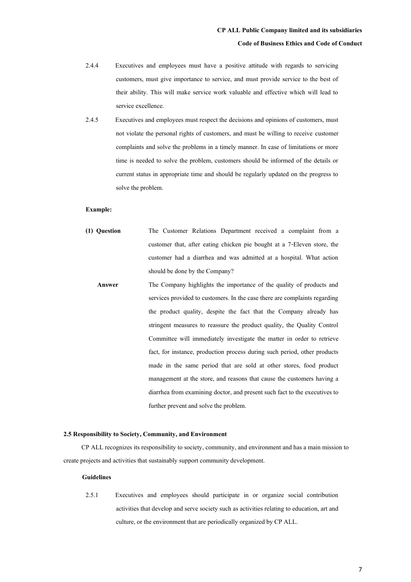- 2.4.4 Executives and employees must have a positive attitude with regards to servicing customers, must give importance to service, and must provide service to the best of their ability. This will make service work valuable and effective which will lead to service excellence.
- 2.4.5 Executives and employees must respect the decisions and opinions of customers, must not violate the personal rights of customers, and must be willing to receive customer complaints and solve the problems in a timely manner. In case of limitations or more time is needed to solve the problem, customers should be informed of the details or current status in appropriate time and should be regularly updated on the progress to solve the problem.

#### **Example:**

- **(1) Question** The Customer Relations Department received a complaint from a customer that, after eating chicken pie bought at a 7-Eleven store, the customer had a diarrhea and was admitted at a hospital. What action should be done by the Company?
	- **Answer** The Company highlights the importance of the quality of products and services provided to customers. In the case there are complaints regarding the product quality, despite the fact that the Company already has stringent measures to reassure the product quality, the Quality Control Committee will immediately investigate the matter in order to retrieve fact, for instance, production process during such period, other products made in the same period that are sold at other stores, food product management at the store, and reasons that cause the customers having a diarrhea from examining doctor, and present such fact to the executives to further prevent and solve the problem.

#### **2.5 Responsibility to Society, Community, and Environment**

CP ALL recognizes its responsibility to society, community, and environment and has a main mission to create projects and activities that sustainably support community development.

#### **Guidelines**

2.5.1 Executives and employees should participate in or organize social contribution activities that develop and serve society such as activities relating to education, art and culture, or the environment that are periodically organized by CP ALL.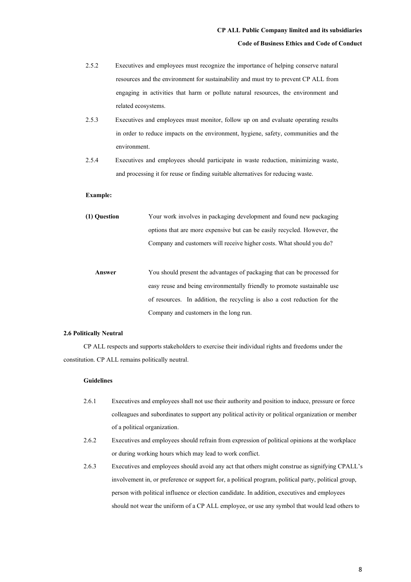- 2.5.2 Executives and employees must recognize the importance of helping conserve natural resources and the environment for sustainability and must try to prevent CP ALL from engaging in activities that harm or pollute natural resources, the environment and related ecosystems.
- 2.5.3 Executives and employees must monitor, follow up on and evaluate operating results in order to reduce impacts on the environment, hygiene, safety, communities and the environment.
- 2.5.4 Executives and employees should participate in waste reduction, minimizing waste, and processing it for reuse or finding suitable alternatives for reducing waste.

## **Example:**

| (1) Ouestion | Your work involves in packaging development and found new packaging      |
|--------------|--------------------------------------------------------------------------|
|              | options that are more expensive but can be easily recycled. However, the |
|              | Company and customers will receive higher costs. What should you do?     |

 **Answer** You should present the advantages of packaging that can be processed for easy reuse and being environmentally friendly to promote sustainable use of resources. In addition, the recycling is also a cost reduction for the Company and customers in the long run.

#### **2.6 Politically Neutral**

CP ALL respects and supports stakeholders to exercise their individual rights and freedoms under the constitution. CP ALL remains politically neutral.

- 2.6.1 Executives and employees shall not use their authority and position to induce, pressure or force colleagues and subordinates to support any political activity or political organization or member of a political organization.
- 2.6.2 Executives and employees should refrain from expression of political opinions at the workplace or during working hours which may lead to work conflict.
- 2.6.3 Executives and employees should avoid any act that others might construe as signifying CPALL's involvement in, or preference or support for, a political program, political party, political group, person with political influence or election candidate. In addition, executives and employees should not wear the uniform of a CP ALL employee, or use any symbol that would lead others to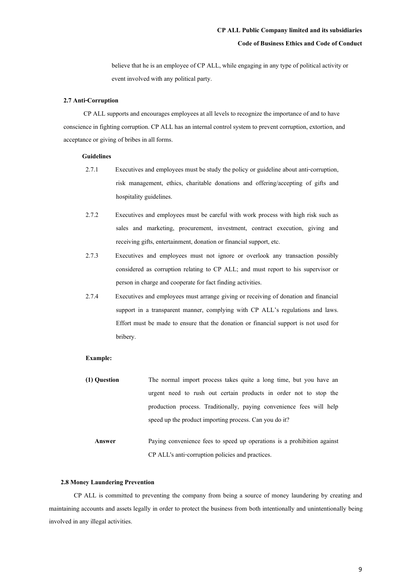believe that he is an employee of CP ALL, while engaging in any type of political activity or event involved with any political party.

#### **2.7 Anti-Corruption**

CP ALL supports and encourages employees at all levels to recognize the importance of and to have conscience in fighting corruption. CP ALL has an internal control system to prevent corruption, extortion, and acceptance or giving of bribes in all forms.

#### **Guidelines**

- 2.7.1 Executives and employees must be study the policy or guideline about anti-corruption, risk management, ethics, charitable donations and offering/accepting of gifts and hospitality guidelines.
- 2.7.2 Executives and employees must be careful with work process with high risk such as sales and marketing, procurement, investment, contract execution, giving and receiving gifts, entertainment, donation or financial support, etc.
- 2.7.3 Executives and employees must not ignore or overlook any transaction possibly considered as corruption relating to CP ALL; and must report to his supervisor or person in charge and cooperate for fact finding activities.
- 2.7.4 Executives and employees must arrange giving or receiving of donation and financial support in a transparent manner, complying with CP ALL's regulations and laws. Effort must be made to ensure that the donation or financial support is not used for bribery.

#### **Example:**

- **(1) Question** The normal import process takes quite a long time, but you have an urgent need to rush out certain products in order not to stop the production process. Traditionally, paying convenience fees will help speed up the product importing process. Can you do it?
	- **Answer** Paying convenience fees to speed up operations is a prohibition against CP ALL's anti-corruption policies and practices.

#### **2.8Money Laundering Prevention**

CP ALL is committed to preventing the company from being a source of money laundering by creating and maintaining accounts and assets legally in order to protect the business from both intentionally and unintentionally being involved in any illegal activities.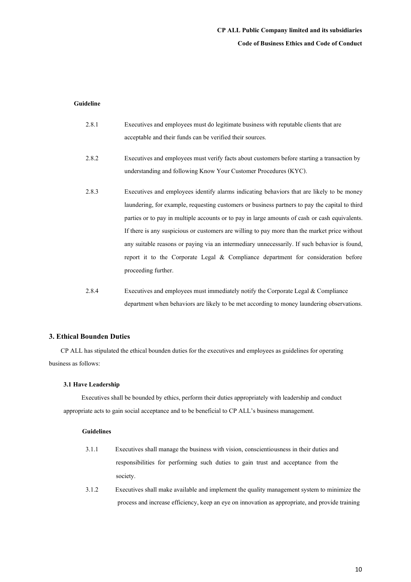# **CP ALL Public Company limited and its subsidiaries Code of Business Ethics and Code of Conduct**

## **Guideline**

| 2.8.1 | Executives and employees must do legitimate business with reputable clients that are           |
|-------|------------------------------------------------------------------------------------------------|
|       | acceptable and their funds can be verified their sources.                                      |
| 2.8.2 | Executives and employees must verify facts about customers before starting a transaction by    |
|       | understanding and following Know Your Customer Procedures (KYC).                               |
| 2.8.3 | Executives and employees identify alarms indicating behaviors that are likely to be money      |
|       | laundering, for example, requesting customers or business partners to pay the capital to third |
|       | parties or to pay in multiple accounts or to pay in large amounts of cash or cash equivalents. |
|       | If there is any suspicious or customers are willing to pay more than the market price without  |
|       | any suitable reasons or paying via an intermediary unnecessarily. If such behavior is found,   |
|       | report it to the Corporate Legal & Compliance department for consideration before              |
|       | proceeding further.                                                                            |
|       |                                                                                                |

2.8.4 Executives and employees must immediately notify the Corporate Legal & Compliance department when behaviors are likely to be met according to money laundering observations.

#### **3. Ethical Bounden Duties**

CP ALL has stipulated the ethical bounden duties for the executives and employees as guidelines for operating business as follows:

## **3.1 Have Leadership**

Executives shall be bounded by ethics, perform their duties appropriately with leadership and conduct appropriate acts to gain social acceptance and to be beneficial to CP ALL's business management.

- 3.1.1 Executives shall manage the business with vision, conscientiousness in their duties and responsibilities for performing such duties to gain trust and acceptance from the society.
- 3.1.2 Executives shall make available and implement the quality management system to minimize the process and increase efficiency, keep an eye on innovation as appropriate, and provide training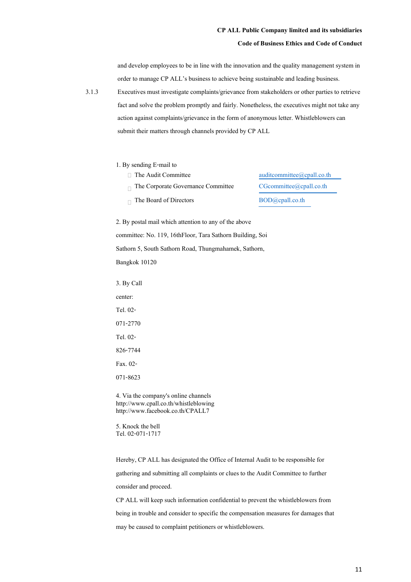#### **Code of Business Ethics and Code of Conduct**

and develop employees to be in line with the innovation and the quality management system in order to manage CP ALL's business to achieve being sustainable and leading business.

3.1.3 Executives must investigate complaints/grievance from stakeholders or other parties to retrieve fact and solve the problem promptly and fairly. Nonetheless, the executives might not take any action against complaints/grievance in the form of anonymous letter. Whistleblowers can submit their matters through channels provided by CP ALL

#### 1. By sending E-mail to

- 
- 
- 

 $\Box$  The Audit Committee auditcommittee auditcommittee auditcommittee and  $\Box$ The Corporate Governance Committee CGcommittee @cpall.co.th The Board of Directors BOD@cpall.co.th

2. By postal mail which attention to any of the above committee: No. 119, 16thFloor, Tara Sathorn Building, Soi Sathorn 5, South Sathorn Road, Thungmahamek, Sathorn, Bangkok 10120

3. By Call center: Tel. 02- 071-2770 Tel. 02-

826-7744

Fax. 02-

071-8623

4. Via the company's online channels http://www.cpall.co.th/whistleblowing http://www.facebook.co.th/CPALL7

5. Knock the bell Tel. 02-071-1717

Hereby, CP ALL has designated the Office of Internal Audit to be responsible for gathering and submitting all complaints or clues to the Audit Committee to further consider and proceed.

CP ALL will keep such information confidential to prevent the whistleblowers from being in trouble and consider to specific the compensation measures for damages that may be caused to complaint petitioners or whistleblowers.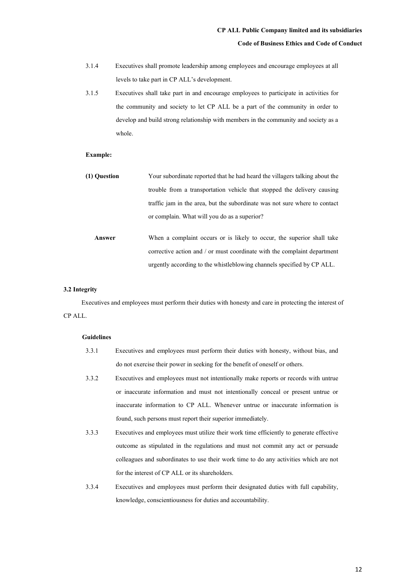- 3.1.4 Executives shall promote leadership among employees and encourage employees at all levels to take part in CP ALL's development.
- 3.1.5 Executives shall take part in and encourage employees to participate in activities for the community and society to let CP ALL be a part of the community in order to develop and build strong relationship with members in the community and society as a whole.

## **Example:**

| (1) Question | Your subordinate reported that he had heard the villagers talking about the |
|--------------|-----------------------------------------------------------------------------|
|              | trouble from a transportation vehicle that stopped the delivery causing     |
|              | traffic jam in the area, but the subordinate was not sure where to contact  |
|              | or complain. What will you do as a superior?                                |
|              |                                                                             |
| Answer       | When a complaint occurs or is likely to occur, the superior shall take      |
|              | corrective action and / or must coordinate with the complaint department    |

urgently according to the whistleblowing channels specified by CP ALL.

#### **3.2Integrity**

Executives and employees must perform their duties with honesty and care in protecting the interest of CP ALL.

- 3.3.1 Executives and employees must perform their duties with honesty, without bias, and do not exercise their power in seeking for the benefit of oneself or others.
- 3.3.2 Executives and employees must not intentionally make reports or records with untrue or inaccurate information and must not intentionally conceal or present untrue or inaccurate information to CP ALL. Whenever untrue or inaccurate information is found, such persons must report their superior immediately.
- 3.3.3 Executives and employees must utilize their work time efficiently to generate effective outcome as stipulated in the regulations and must not commit any act or persuade colleagues and subordinates to use their work time to do any activities which are not for the interest of CP ALL or its shareholders.
- 3.3.4 Executives and employees must perform their designated duties with full capability, knowledge, conscientiousness for duties and accountability.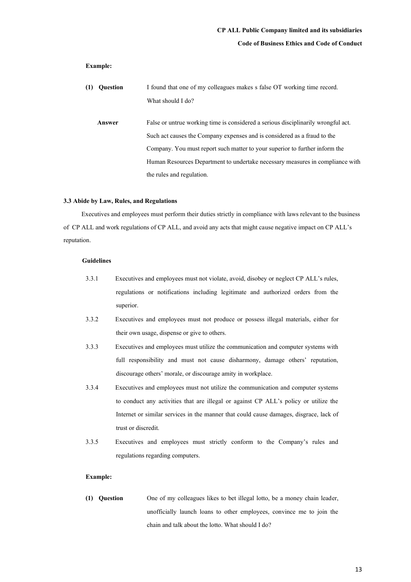## **Code of Business Ethics and Code of Conduct**

## **Example:**

| (1) | <b>Ouestion</b> | I found that one of my colleagues makes s false OT working time record.           |  |  |
|-----|-----------------|-----------------------------------------------------------------------------------|--|--|
|     |                 | What should I do?                                                                 |  |  |
|     | Answer          | False or untrue working time is considered a serious disciplinarily wrongful act. |  |  |
|     |                 | Such act causes the Company expenses and is considered as a fraud to the          |  |  |
|     |                 | Company. You must report such matter to your superior to further inform the       |  |  |
|     |                 | Human Resources Department to undertake necessary measures in compliance with     |  |  |
|     |                 | the rules and regulation.                                                         |  |  |

#### **3.3 Abide by Law, Rules, and Regulations**

Executives and employees must perform their duties strictly in compliance with laws relevant to the business of CP ALL and work regulations of CP ALL, and avoid any acts that might cause negative impact on CP ALL's reputation.

## **Guidelines**

- 3.3.1 Executives and employees must not violate, avoid, disobey or neglect CP ALL's rules, regulations or notifications including legitimate and authorized orders from the superior.
- 3.3.2 Executives and employees must not produce or possess illegal materials, either for their own usage, dispense or give to others.
- 3.3.3 Executives and employees must utilize the communication and computer systems with full responsibility and must not cause disharmony, damage others' reputation, discourage others' morale, or discourage amity in workplace.
- 3.3.4 Executives and employees must not utilize the communication and computer systems to conduct any activities that are illegal or against CP ALL's policy or utilize the Internet or similar services in the manner that could cause damages, disgrace, lack of trust or discredit.
- 3.3.5 Executives and employees must strictly conform to the Company's rules and regulations regarding computers.

#### **Example:**

**(1) Question** One of my colleagues likes to bet illegal lotto, be a money chain leader, unofficially launch loans to other employees, convince me to join the chain and talk about the lotto. What should I do?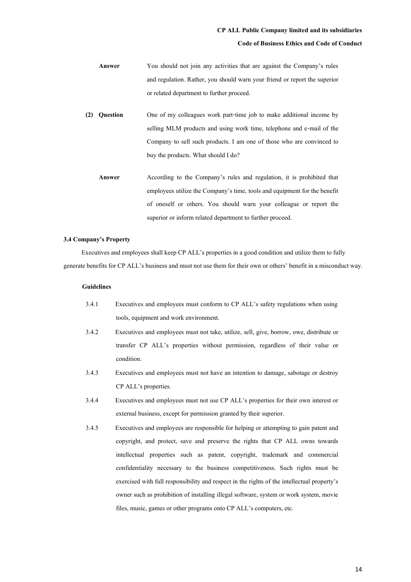#### **Code of Business Ethics and Code of Conduct**

- **Answer** You should not join any activities that are against the Company's rules and regulation. Rather, you should warn your friend or report the superior or related department to further proceed.
- **(2) Question** One of my colleagues work part-time job to make additional income by selling MLM products and using work time, telephone and e-mail of the Company to sell such products. I am one of those who are convinced to buy the products. What should I do?
	- **Answer** According to the Company's rules and regulation, it is prohibited that employees utilize the Company's time, tools and equipment for the benefit of oneself or others. You should warn your colleague or report the superior or inform related department to further proceed.

#### **3.4 Company's Property**

Executives and employees shall keep CP ALL's properties in a good condition and utilize them to fully generate benefits for CP ALL's business and must not use them for their own or others' benefit in a misconduct way.

- 3.4.1 Executives and employees must conform to CP ALL's safety regulations when using tools, equipment and work environment.
- 3.4.2 Executives and employees must not take, utilize, sell, give, borrow, owe, distribute or transfer CP ALL's properties without permission, regardless of their value or condition.
- 3.4.3 Executives and employees must not have an intention to damage, sabotage or destroy CP ALL's properties.
- 3.4.4 Executives and employees must not use CP ALL's properties for their own interest or external business, except for permission granted by their superior.
- 3.4.5 Executives and employees are responsible for helping or attempting to gain patent and copyright, and protect, save and preserve the rights that CP ALL owns towards intellectual properties such as patent, copyright, trademark and commercial confidentiality necessary to the business competitiveness. Such rights must be exercised with full responsibility and respect in the rights of the intellectual property's owner such as prohibition of installing illegal software, system or work system, movie files, music, games or other programs onto CP ALL's computers, etc.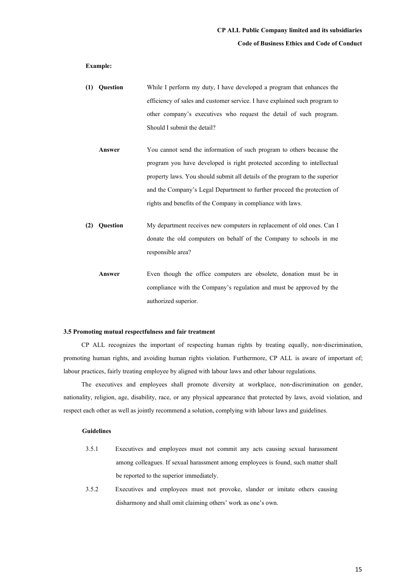#### **Example:**

- **(1) Question** While I perform my duty, I have developed a program that enhances the efficiency of sales and customer service. I have explained such program to other company's executives who request the detail of such program. Should I submit the detail?
	- **Answer** You cannot send the information of such program to others because the program you have developed is right protected according to intellectual property laws. You should submit all details of the program to the superior and the Company's Legal Department to further proceed the protection of rights and benefits of the Company in compliance with laws.
- **(2) Question** My department receives new computers in replacement of old ones. Can I donate the old computers on behalf of the Company to schools in me responsible area?
	- **Answer Even though the office computers are obsolete, donation must be in** compliance with the Company's regulation and must be approved by the authorized superior.

#### **3.5 Promoting mutual respectfulnessand fair treatment**

CP ALL recognizes the important of respecting human rights by treating equally, non-discrimination, promoting human rights, and avoiding human rights violation. Furthermore, CP ALL is aware of important of; labour practices, fairly treating employee by aligned with labour laws and other labour regulations.

The executives and employees shall promote diversity at workplace, non-discrimination on gender, nationality, religion, age, disability, race, or any physical appearance that protected by laws, avoid violation, and respect each other as well as jointly recommend a solution, complying with labour laws and guidelines.

- 3.5.1 Executives and employees must not commit any acts causing sexual harassment among colleagues. If sexual harassment among employees is found, such matter shall be reported to the superior immediately.
- 3.5.2 Executives and employees must not provoke, slander or imitate others causing disharmony and shall omit claiming others' work as one's own.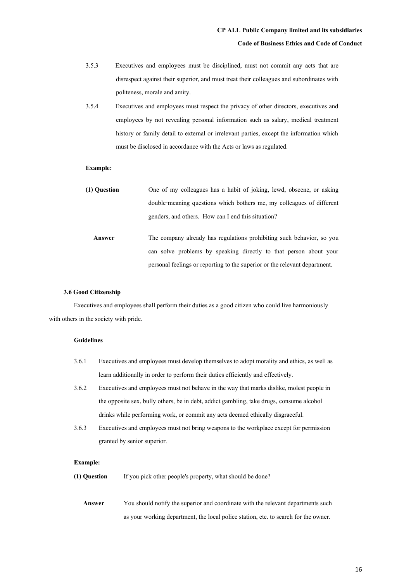- 3.5.3 Executives and employees must be disciplined, must not commit any acts that are disrespect against their superior, and must treat their colleagues and subordinates with politeness, morale and amity.
- 3.5.4 Executives and employees must respect the privacy of other directors, executives and employees by not revealing personal information such as salary, medical treatment history or family detail to external or irrelevant parties, except the information which must be disclosed in accordance with the Acts or laws as regulated.

#### **Example:**

**(1) Question** One of my colleagues has a habit of joking, lewd, obscene, or asking double-meaning questions which bothers me, my colleagues of different genders, and others. How can I end this situation? Answer The company already has regulations prohibiting such behavior, so you can solve problems by speaking directly to that person about your personal feelings or reporting to the superior or the relevant department.

#### **3.6 Good Citizenship**

Executives and employees shall perform their duties as a good citizen who could live harmoniously with others in the society with pride.

## **Guidelines**

- 3.6.1 Executives and employees must develop themselves to adopt morality and ethics, as well as learn additionally in order to perform their duties efficiently and effectively. 3.6.2 Executives and employees must not behave in the way that marks dislike, molest people in
- the opposite sex, bully others, be in debt, addict gambling, take drugs, consume alcohol drinks while performing work, or commit any acts deemed ethically disgraceful.
- 3.6.3 Executives and employees must not bring weapons to the workplace except for permission granted by senior superior.

#### **Example:**

- **(1) Question** If you pick other people's property, what should be done?
	- **Answer** You should notify the superior and coordinate with the relevant departments such as your working department, the local police station, etc. to search for the owner.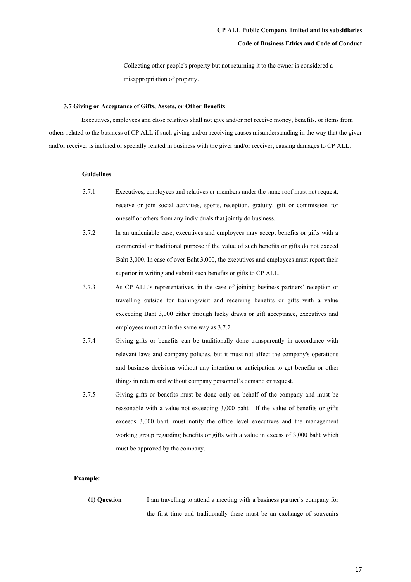#### **Code of Business Ethics and Code of Conduct**

Collecting other people's property but not returning it to the owner is considered a misappropriation of property.

## **3.7 Giving or Acceptance of Gifts, Assets, or Other Benefits**

Executives, employees and close relatives shall not give and/or not receive money, benefits, or items from others related to the business of CP ALL if such giving and/or receiving causes misunderstanding in the way that the giver and/or receiver is inclined or specially related in business with the giver and/or receiver, causing damages to CP ALL.

#### **Guidelines**

- 3.7.1 Executives, employees and relatives or members under the same roof must not request, receive or join social activities, sports, reception, gratuity, gift or commission for oneself or others from any individuals that jointly do business.
- 3.7.2 In an undeniable case, executives and employees may accept benefits or gifts with a commercial or traditional purpose if the value of such benefits or gifts do not exceed Baht 3,000. In case of over Baht 3,000, the executives and employees must report their superior in writing and submit such benefits or gifts to CP ALL.
- 3.7.3 As CP ALL's representatives, in the case of joining business partners' reception or travelling outside for training/visit and receiving benefits or gifts with a value exceeding Baht 3,000 either through lucky draws or gift acceptance, executives and employees must act in the same way as 3.7.2.
- 3.7.4 Giving gifts or benefits can be traditionally done transparently in accordance with relevant laws and company policies, but it must not affect the company's operations and business decisions without any intention or anticipation to get benefits or other things in return and without company personnel's demand or request.
- 3.7.5 Giving gifts or benefits must be done only on behalf of the company and must be reasonable with a value not exceeding 3,000 baht. If the value of benefits or gifts exceeds 3,000 baht, must notify the office level executives and the management working group regarding benefits or gifts with a value in excess of 3,000 baht which must be approved by the company.

#### **Example:**

**(1) Question** I am travelling to attend a meeting with a business partner's company for the first time and traditionally there must be an exchange of souvenirs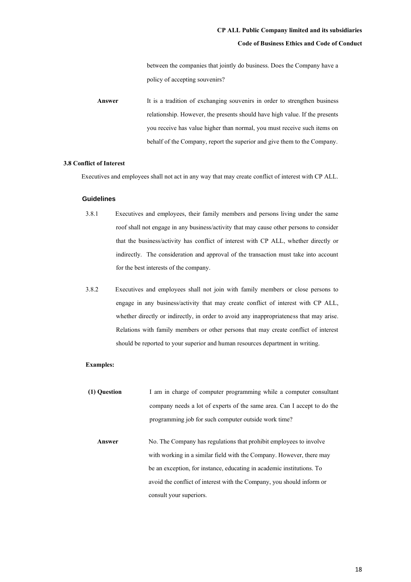between the companies that jointly do business. Does the Company have a policy of accepting souvenirs?

**Answer** It is a tradition of exchanging souvenirs in order to strengthen business relationship. However, the presents should have high value. If the presents you receive has value higher than normal, you must receive such items on behalf of the Company, report the superior and give them to the Company.

## **3.8 Conflict of Interest**

Executives and employees shall not act in any way that may create conflict of interest with CP ALL.

#### **Guidelines**

- 3.8.1 Executives and employees, their family members and persons living under the same roof shall not engage in any business/activity that may cause other persons to consider that the business/activity has conflict of interest with CP ALL, whether directly or indirectly. The consideration and approval of the transaction must take into account for the best interests of the company.
- 3.8.2 Executives and employees shall not join with family members or close persons to engage in any business/activity that may create conflict of interest with CP ALL, whether directly or indirectly, in order to avoid any inappropriateness that may arise. Relations with family members or other persons that may create conflict of interest should be reported to your superior and human resources department in writing.

#### **Examples:**

- **(1) Question** I am in charge of computer programming while a computer consultant company needs a lot of experts of the same area. Can I accept to do the programming job for such computer outside work time?
	- Answer No. The Company has regulations that prohibit employees to involve with working in a similar field with the Company. However, there may be an exception, for instance, educating in academic institutions. To avoid the conflict of interest with the Company, you should inform or consult your superiors.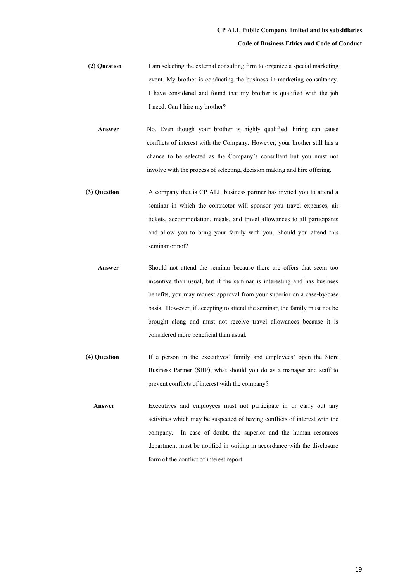**(2) Question** I am selecting the external consulting firm to organize a special marketing event. My brother is conducting the business in marketing consultancy. I have considered and found that my brother is qualified with the job I need. Can I hire my brother?

Answer **No.** Even though your brother is highly qualified, hiring can cause conflicts of interest with the Company. However, your brother still has a chance to be selected as the Company's consultant but you must not involve with the process of selecting, decision making and hire offering.

- **(3) Question** A company that is CP ALL business partner has invited you to attend a seminar in which the contractor will sponsor you travel expenses, air tickets, accommodation, meals, and travel allowances to all participants and allow you to bring your family with you. Should you attend this seminar or not?
	- **Answer** Should not attend the seminar because there are offers that seem too incentive than usual, but if the seminar is interesting and has business benefits, you may request approval from your superior on a case-by-case basis. However, if accepting to attend the seminar, the family must not be brought along and must not receive travel allowances because it is considered more beneficial than usual.
- **(4) Question** If a person in the executives' family and employees' open the Store Business Partner (SBP), what should you do as a manager and staff to prevent conflicts of interest with the company?
	- **Answer** Executives and employees must not participate in or carry out any activities which may be suspected of having conflicts of interest with the company. In case of doubt, the superior and the human resources department must be notified in writing in accordance with the disclosure form of the conflict of interest report.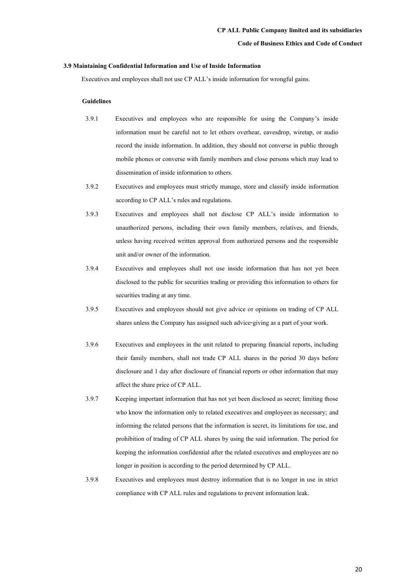#### **3.9 Maintaining Confidential Informationand Use of Inside Information**

Executives and employees shall not use CP ALL's inside information for wrongful gains.

- 3.9.1 Executives and employees who are responsible for using the Company's inside information must be careful not to let others overhear, eavesdrop, wiretap, or audio record the inside information. In addition, they should not converse in public through mobile phones or converse with family members and close persons which may lead to dissemination of inside information to others.
- 3.9.2 Executives and employees must strictly manage, store and classify inside information according to CP ALL's rules and regulations.
- 3.9.3 Executives and employees shall not disclose CP ALL's inside information to unauthorized persons, including their own family members, relatives, and friends, unless having received written approval from authorized persons and the responsible unit and/or owner of the information.
- 3.9.4 Executives and employees shall not use inside information that has not yet been disclosed to the public for securities trading or providing this information to others for securities trading at any time.
- 3.9.5 Executives and employees should not give advice or opinions on trading of CP ALL shares unless the Company has assigned such advice-giving as a part of your work.
- 3.9.6 Executives and employees in the unit related to preparing financial reports, including their family members, shall not trade CP ALL shares in the period 30 days before disclosure and 1 day after disclosure of financial reports or other information that may affect the share price of CP ALL.
- 3.9.7 Keeping important information that has not yet been disclosed as secret; limiting those who know the information only to related executives and employees as necessary; and informing the related persons that the information is secret, its limitations for use, and prohibition of trading of CP ALL shares by using the said information. The period for keeping the information confidential after the related executives and employees are no longer in position is according to the period determined by CP ALL.
- 3.9.8 Executives and employees must destroy information that is no longer in use in strict compliance with CP ALL rules and regulations to prevent information leak.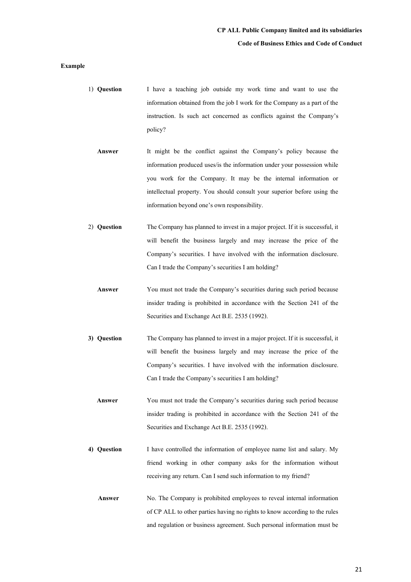#### **Example**

- 1) **Question** I have a teaching job outside my work time and want to use the information obtained from the job I work for the Company as a part of the instruction. Is such act concerned as conflicts against the Company's policy?
	- **Answer** It might be the conflict against the Company's policy because the information produced uses/is the information under your possession while you work for the Company. It may be the internal information or intellectual property. You should consult your superior before using the information beyond one's own responsibility.
- 2) **Question** The Company has planned to invest in a major project. If it is successful, it will benefit the business largely and may increase the price of the Company's securities. I have involved with the information disclosure. Can I trade the Company's securities I am holding?
	- **Answer** You must not trade the Company's securities during such period because insider trading is prohibited in accordance with the Section 241 of the Securities and Exchange Act B.E. 2535 (1992).
- **3) Question** The Company has planned to invest in a major project. If it is successful, it will benefit the business largely and may increase the price of the Company's securities. I have involved with the information disclosure. Can I trade the Company's securities I am holding?
	- **Answer** You must not trade the Company's securities during such period because insider trading is prohibited in accordance with the Section 241 of the Securities and Exchange Act B.E. 2535 (1992).
- **4) Question** I have controlled the information of employee name list and salary. My friend working in other company asks for the information without receiving any return. Can I send such information to my friend?
	- **Answer** No. The Company is prohibited employees to reveal internal information of CP ALL to other parties having no rights to know according to the rules and regulation or business agreement. Such personal information must be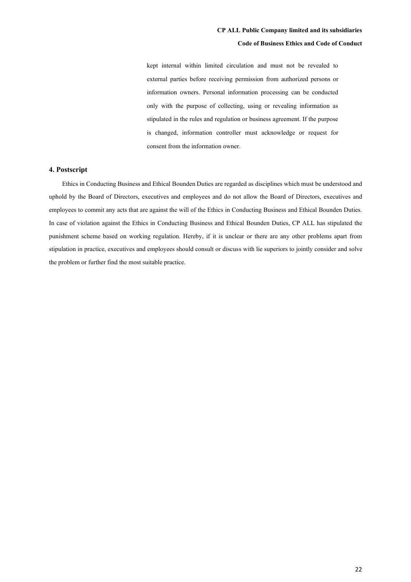kept internal within limited circulation and must not be revealed to external parties before receiving permission from authorized persons or information owners. Personal information processing can be conducted only with the purpose of collecting, using or revealing information as stipulated in the rules and regulation or business agreement. If the purpose is changed, information controller must acknowledge or request for consent from the information owner.

## **4. Postscript**

Ethics in Conducting Business and Ethical Bounden Duties are regarded as disciplines which must be understood and uphold by the Board of Directors, executives and employees and do not allow the Board of Directors, executives and employees to commit any acts that are against the will of the Ethics in Conducting Business and Ethical Bounden Duties. In case of violation against the Ethics in Conducting Business and Ethical Bounden Duties, CP ALL has stipulated the punishment scheme based on working regulation. Hereby, if it is unclear or there are any other problems apart from stipulation in practice, executives and employees should consult or discuss with lie superiors to jointly consider and solve the problem or further find the most suitable practice.